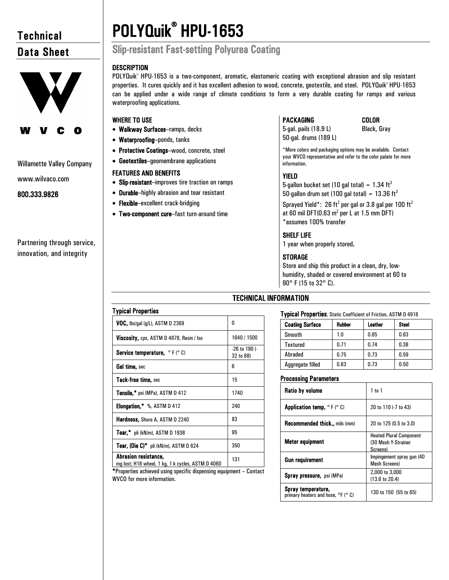# **Technical** Data Sheet



#### Willamette Valley Company

www.wilvaco.com

#### 800.333.9826

Partnering through service, innovation, and integrity

# POLYQuik® HPU-1653 Slip-resistant Fast-setting Polyurea Coating

#### **DESCRIPTION**

POLYQuik® HPU-1653 is a two-component, aromatic, elastomeric coating with exceptional abrasion and slip resistant properties. It cures quickly and it has excellent adhesion to wood, concrete, geotextile, and steel. POLYQuik® HPU-1653 can be applied under a wide range of climate conditions to form a very durable coating for ramps and various waterproofing applications.

#### WHERE TO USE

- Walkway Surfaces–ramps, decks
- Waterproofing–ponds, tanks
- Protective Coatings–wood, concrete, steel
- Geotextiles–geomembrane applications

#### FEATURES AND BENEFITS

- Slip-resistant–improves tire traction on ramps
- Durable–highly abrasion and tear resistant
- Flexible–excellent crack-bridging
- Two-component cure–fast turn-around time

## PACKAGING COLOR

5-gal. pails (18.9 L) Black, Gray 50-gal. drums (189 L)

\*More colors and packaging options may be available. Contact your WVCO representative and refer to the color palate for more information.

### YIELD

5-gallon bucket set (10 gal total) =  $1.34 \text{ ft}^3$ 50-gallon drum set (100 gal total) =  $13.36 \text{ ft}^3$ 

Sprayed Yield\*: 26 ft<sup>2</sup> per gal or 3.8 gal per 100 ft<sup>2</sup> at 60 mil DFT(0.63  $m^2$  per L at 1.5 mm DFT) \*assumes 100% transfer

#### SHELF LIFE

1 year when properly stored.

#### **STORAGE**

Store and ship this product in a clean, dry, lowhumidity, shaded or covered environment at 60 to 90° F (15 to 32° C).

| <b>Typical Properties</b>                                                 |                            |
|---------------------------------------------------------------------------|----------------------------|
| VOC, lbs/gal (g/L), ASTM D 2369                                           | 0                          |
| Viscosity, cps, ASTM D 4878, Resin / Iso                                  | 1640 / 1500                |
| <b>Service temperature, <math>\circ</math> F (<math>\circ</math> C)</b>   | -26 to 190 (-<br>32 to 88) |
| <b>Gel time,</b> sec                                                      | 6                          |
| Tack-free time, sec                                                       | 15                         |
| <b>Tensile,*</b> psi (MPa), ASTM D 412                                    | 1740                       |
| <b>Elongation, *</b> %, $ASTM D 412$                                      | 240                        |
| <b>Hardness, Shore A, ASTM D 2240</b>                                     | 83                         |
| <b>Tear,</b> " pli (kN/m), ASTM D 1938                                    | 95                         |
| Tear, (Die C)* pli (kN/m), ASTM D 624                                     | 350                        |
| Abrasion resistance,<br>mg lost; H18 wheel, 1 kg, 1 k cycles, ASTM D 4060 | 131                        |

TECHNICAL INFORMATION

Typical Properties, Static Coefficient of Friction, ASTM D 4918

| <b>Coating Surface</b> | Rubber | Leather | <b>Steel</b> |
|------------------------|--------|---------|--------------|
| Smooth                 | 1.0    | 0.85    | 0.63         |
| Textured               | 0.71   | 0.74    | 0.38         |
| Abraded                | 0.75   | 0.73    | 0.59         |
| Aggregate filled       | 0.83   | 0.73    | 0.50         |

#### Processing Parameters

| Ratio by volume                                                      | 1 to 1                                                            |
|----------------------------------------------------------------------|-------------------------------------------------------------------|
| <b>Application temp, <math>\circ</math> F (<math>\circ</math> C)</b> | 20 to 110 (-7 to 43)                                              |
| <b>Recommended thick</b> mils (mm)                                   | 20 to 125 (0.5 to 3.0)                                            |
| Meter equipment                                                      | <b>Heated Plural Component</b><br>(30 Mesh Y-Strainer<br>Screens) |
| Gun requirement                                                      | Impingement spray gun (40<br><b>Mesh Screens)</b>                 |
| <b>Spray pressure, psi (MPa)</b>                                     | 2,000 to 3,000<br>$(13.6 \text{ to } 20.4)$                       |
| Spray temperature,<br>primary heaters and hose, °F (° C)             | 130 to 150 (55 to 65)                                             |

 \*Properties achieved using specific dispensing equipment – Contact WVCO for more information.